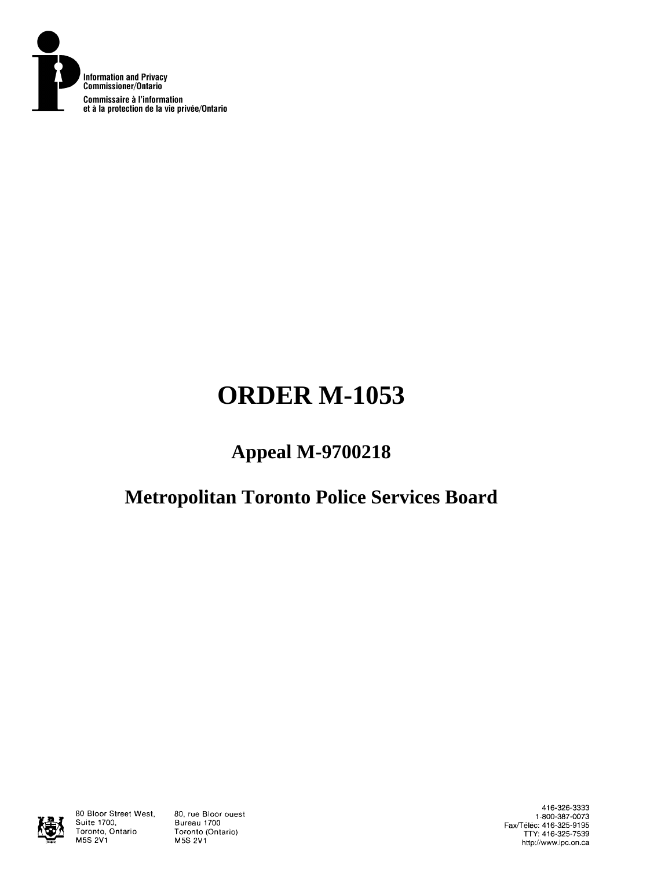

# **ORDER M-1053**

## **Appeal M-9700218**

## **Metropolitan Toronto Police Services Board**



80 Bloor Street West, Suite 1700, Toronto, Ontario **M5S 2V1** 

80, rue Bloor ouest Bureau 1700 Toronto (Ontario) **M5S 2V1** 

416-326-3333 1-800-387-0073 Fax/Téléc: 416-325-9195<br>TTY: 416-325-7539 http://www.ipc.on.ca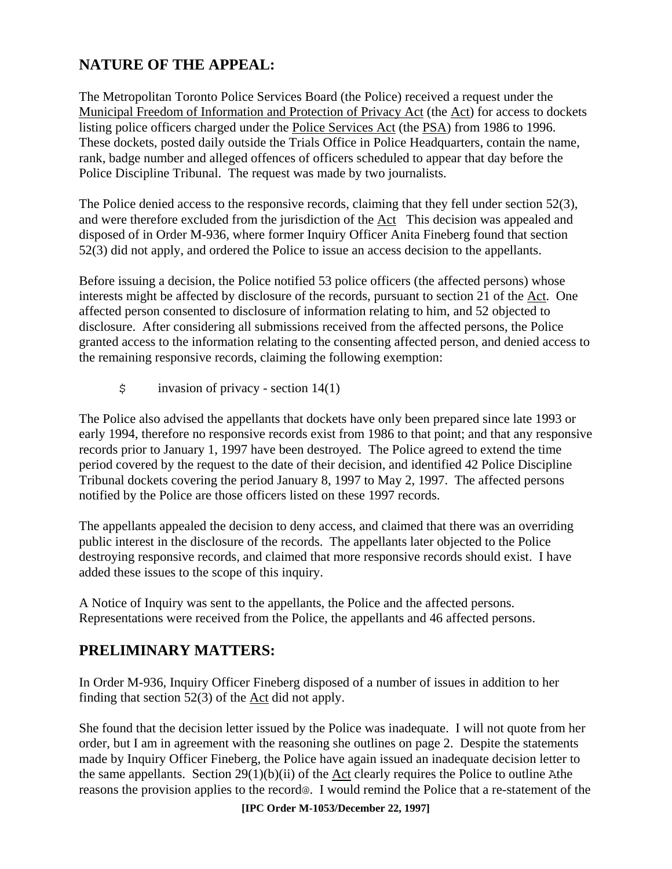## **NATURE OF THE APPEAL:**

The Metropolitan Toronto Police Services Board (the Police) received a request under the Municipal Freedom of Information and Protection of Privacy Act (the Act) for access to dockets listing police officers charged under the Police Services Act (the PSA) from 1986 to 1996. These dockets, posted daily outside the Trials Office in Police Headquarters, contain the name, rank, badge number and alleged offences of officers scheduled to appear that day before the Police Discipline Tribunal. The request was made by two journalists.

The Police denied access to the responsive records, claiming that they fell under section 52(3), and were therefore excluded from the jurisdiction of the Act This decision was appealed and disposed of in Order M-936, where former Inquiry Officer Anita Fineberg found that section 52(3) did not apply, and ordered the Police to issue an access decision to the appellants.

Before issuing a decision, the Police notified 53 police officers (the affected persons) whose interests might be affected by disclosure of the records, pursuant to section 21 of the Act. One affected person consented to disclosure of information relating to him, and 52 objected to disclosure. After considering all submissions received from the affected persons, the Police granted access to the information relating to the consenting affected person, and denied access to the remaining responsive records, claiming the following exemption:

 $\sin$  invasion of privacy - section 14(1)

The Police also advised the appellants that dockets have only been prepared since late 1993 or early 1994, therefore no responsive records exist from 1986 to that point; and that any responsive records prior to January 1, 1997 have been destroyed. The Police agreed to extend the time period covered by the request to the date of their decision, and identified 42 Police Discipline Tribunal dockets covering the period January 8, 1997 to May 2, 1997. The affected persons notified by the Police are those officers listed on these 1997 records.

The appellants appealed the decision to deny access, and claimed that there was an overriding public interest in the disclosure of the records. The appellants later objected to the Police destroying responsive records, and claimed that more responsive records should exist. I have added these issues to the scope of this inquiry.

A Notice of Inquiry was sent to the appellants, the Police and the affected persons. Representations were received from the Police, the appellants and 46 affected persons.

## **PRELIMINARY MATTERS:**

In Order M-936, Inquiry Officer Fineberg disposed of a number of issues in addition to her finding that section 52(3) of the Act did not apply.

She found that the decision letter issued by the Police was inadequate. I will not quote from her order, but I am in agreement with the reasoning she outlines on page 2. Despite the statements made by Inquiry Officer Fineberg, the Police have again issued an inadequate decision letter to the same appellants. Section  $29(1)(b)(ii)$  of the Act clearly requires the Police to outline Athe reasons the provision applies to the record@. I would remind the Police that a re-statement of the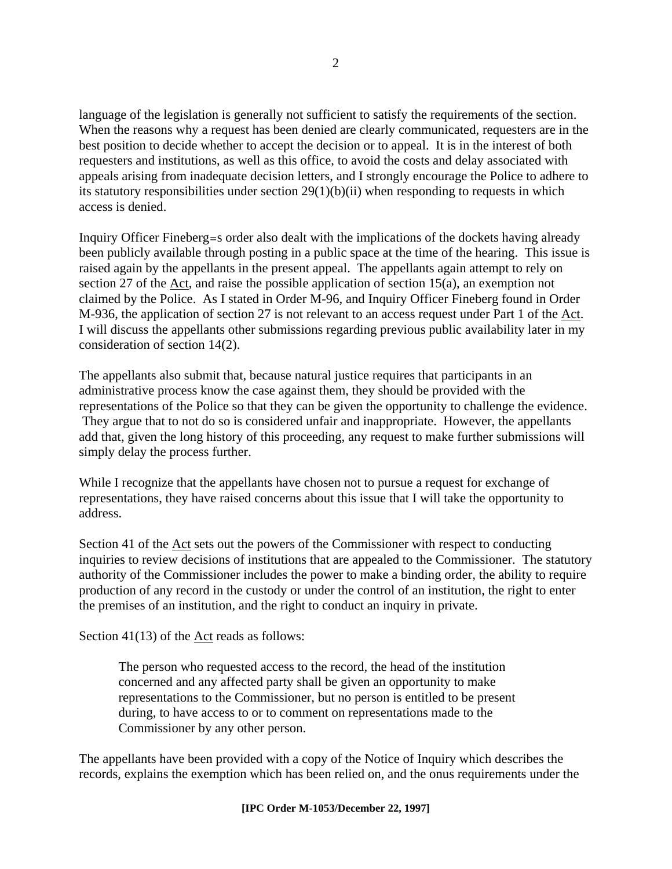language of the legislation is generally not sufficient to satisfy the requirements of the section. When the reasons why a request has been denied are clearly communicated, requesters are in the best position to decide whether to accept the decision or to appeal. It is in the interest of both requesters and institutions, as well as this office, to avoid the costs and delay associated with appeals arising from inadequate decision letters, and I strongly encourage the Police to adhere to its statutory responsibilities under section  $29(1)(b)(ii)$  when responding to requests in which access is denied.

Inquiry Officer Fineberg=s order also dealt with the implications of the dockets having already been publicly available through posting in a public space at the time of the hearing. This issue is raised again by the appellants in the present appeal. The appellants again attempt to rely on section 27 of the Act, and raise the possible application of section 15(a), an exemption not claimed by the Police. As I stated in Order M-96, and Inquiry Officer Fineberg found in Order M-936, the application of section 27 is not relevant to an access request under Part 1 of the Act. I will discuss the appellants other submissions regarding previous public availability later in my consideration of section 14(2).

The appellants also submit that, because natural justice requires that participants in an administrative process know the case against them, they should be provided with the representations of the Police so that they can be given the opportunity to challenge the evidence. They argue that to not do so is considered unfair and inappropriate. However, the appellants add that, given the long history of this proceeding, any request to make further submissions will simply delay the process further.

While I recognize that the appellants have chosen not to pursue a request for exchange of representations, they have raised concerns about this issue that I will take the opportunity to address.

Section 41 of the Act sets out the powers of the Commissioner with respect to conducting inquiries to review decisions of institutions that are appealed to the Commissioner. The statutory authority of the Commissioner includes the power to make a binding order, the ability to require production of any record in the custody or under the control of an institution, the right to enter the premises of an institution, and the right to conduct an inquiry in private.

Section 41(13) of the Act reads as follows:

The person who requested access to the record, the head of the institution concerned and any affected party shall be given an opportunity to make representations to the Commissioner, but no person is entitled to be present during, to have access to or to comment on representations made to the Commissioner by any other person.

The appellants have been provided with a copy of the Notice of Inquiry which describes the records, explains the exemption which has been relied on, and the onus requirements under the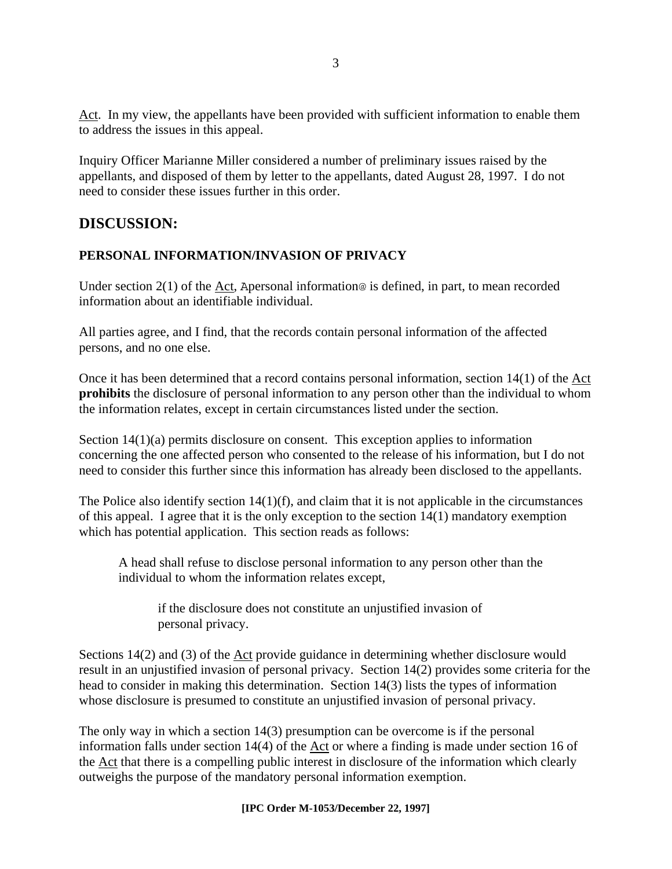Act. In my view, the appellants have been provided with sufficient information to enable them to address the issues in this appeal.

Inquiry Officer Marianne Miller considered a number of preliminary issues raised by the appellants, and disposed of them by letter to the appellants, dated August 28, 1997. I do not need to consider these issues further in this order.

### **DISCUSSION:**

#### **PERSONAL INFORMATION/INVASION OF PRIVACY**

Under section  $2(1)$  of the Act, Apersonal information@ is defined, in part, to mean recorded information about an identifiable individual.

All parties agree, and I find, that the records contain personal information of the affected persons, and no one else.

Once it has been determined that a record contains personal information, section 14(1) of the Act **prohibits** the disclosure of personal information to any person other than the individual to whom the information relates, except in certain circumstances listed under the section.

Section 14(1)(a) permits disclosure on consent. This exception applies to information concerning the one affected person who consented to the release of his information, but I do not need to consider this further since this information has already been disclosed to the appellants.

The Police also identify section  $14(1)(f)$ , and claim that it is not applicable in the circumstances of this appeal. I agree that it is the only exception to the section 14(1) mandatory exemption which has potential application. This section reads as follows:

A head shall refuse to disclose personal information to any person other than the individual to whom the information relates except,

if the disclosure does not constitute an unjustified invasion of personal privacy.

Sections 14(2) and (3) of the Act provide guidance in determining whether disclosure would result in an unjustified invasion of personal privacy. Section 14(2) provides some criteria for the head to consider in making this determination. Section 14(3) lists the types of information whose disclosure is presumed to constitute an unjustified invasion of personal privacy.

The only way in which a section 14(3) presumption can be overcome is if the personal information falls under section 14(4) of the Act or where a finding is made under section 16 of the Act that there is a compelling public interest in disclosure of the information which clearly outweighs the purpose of the mandatory personal information exemption.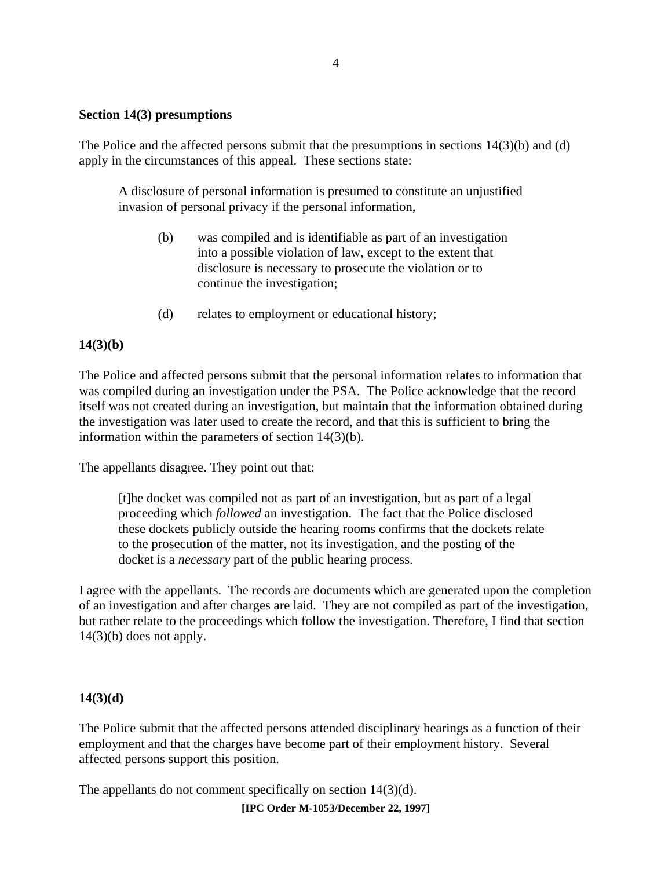#### **Section 14(3) presumptions**

The Police and the affected persons submit that the presumptions in sections 14(3)(b) and (d) apply in the circumstances of this appeal. These sections state:

A disclosure of personal information is presumed to constitute an unjustified invasion of personal privacy if the personal information,

- (b) was compiled and is identifiable as part of an investigation into a possible violation of law, except to the extent that disclosure is necessary to prosecute the violation or to continue the investigation;
- (d) relates to employment or educational history;

#### **14(3)(b)**

The Police and affected persons submit that the personal information relates to information that was compiled during an investigation under the PSA. The Police acknowledge that the record itself was not created during an investigation, but maintain that the information obtained during the investigation was later used to create the record, and that this is sufficient to bring the information within the parameters of section 14(3)(b).

The appellants disagree. They point out that:

[t]he docket was compiled not as part of an investigation, but as part of a legal proceeding which *followed* an investigation. The fact that the Police disclosed these dockets publicly outside the hearing rooms confirms that the dockets relate to the prosecution of the matter, not its investigation, and the posting of the docket is a *necessary* part of the public hearing process.

I agree with the appellants. The records are documents which are generated upon the completion of an investigation and after charges are laid. They are not compiled as part of the investigation, but rather relate to the proceedings which follow the investigation. Therefore, I find that section  $14(3)(b)$  does not apply.

#### **14(3)(d)**

The Police submit that the affected persons attended disciplinary hearings as a function of their employment and that the charges have become part of their employment history. Several affected persons support this position.

The appellants do not comment specifically on section 14(3)(d).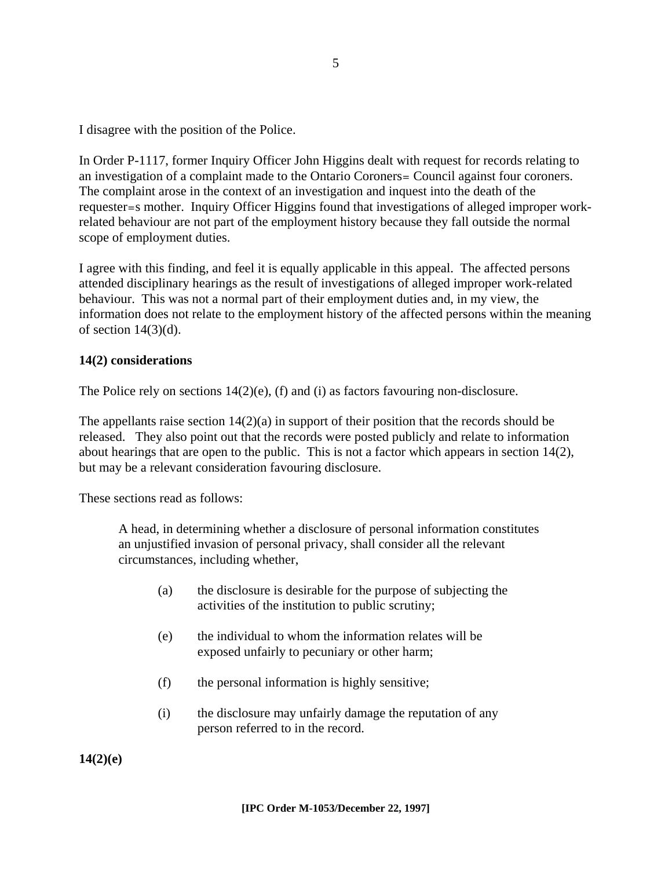I disagree with the position of the Police.

In Order P-1117, former Inquiry Officer John Higgins dealt with request for records relating to an investigation of a complaint made to the Ontario Coroners= Council against four coroners. The complaint arose in the context of an investigation and inquest into the death of the requester=s mother. Inquiry Officer Higgins found that investigations of alleged improper workrelated behaviour are not part of the employment history because they fall outside the normal scope of employment duties.

I agree with this finding, and feel it is equally applicable in this appeal. The affected persons attended disciplinary hearings as the result of investigations of alleged improper work-related behaviour. This was not a normal part of their employment duties and, in my view, the information does not relate to the employment history of the affected persons within the meaning of section  $14(3)(d)$ .

#### **14(2) considerations**

The Police rely on sections  $14(2)(e)$ , (f) and (i) as factors favouring non-disclosure.

The appellants raise section  $14(2)(a)$  in support of their position that the records should be released. They also point out that the records were posted publicly and relate to information about hearings that are open to the public. This is not a factor which appears in section 14(2), but may be a relevant consideration favouring disclosure.

These sections read as follows:

A head, in determining whether a disclosure of personal information constitutes an unjustified invasion of personal privacy, shall consider all the relevant circumstances, including whether,

- (a) the disclosure is desirable for the purpose of subjecting the activities of the institution to public scrutiny;
- (e) the individual to whom the information relates will be exposed unfairly to pecuniary or other harm;
- (f) the personal information is highly sensitive;
- (i) the disclosure may unfairly damage the reputation of any person referred to in the record.

**14(2)(e)**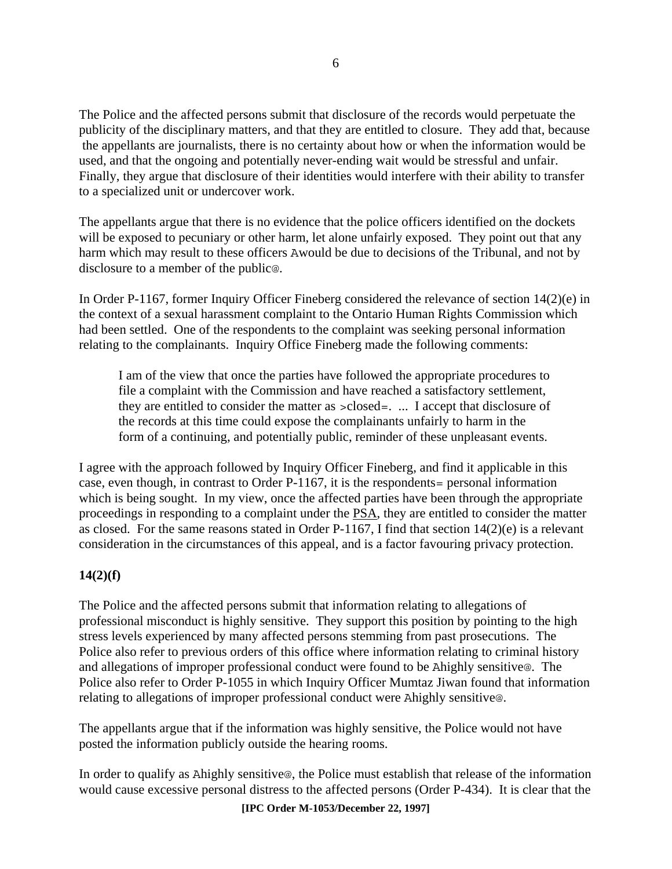The Police and the affected persons submit that disclosure of the records would perpetuate the publicity of the disciplinary matters, and that they are entitled to closure. They add that, because the appellants are journalists, there is no certainty about how or when the information would be used, and that the ongoing and potentially never-ending wait would be stressful and unfair. Finally, they argue that disclosure of their identities would interfere with their ability to transfer to a specialized unit or undercover work.

The appellants argue that there is no evidence that the police officers identified on the dockets will be exposed to pecuniary or other harm, let alone unfairly exposed. They point out that any harm which may result to these officers Awould be due to decisions of the Tribunal, and not by disclosure to a member of the public@.

In Order P-1167, former Inquiry Officer Fineberg considered the relevance of section 14(2)(e) in the context of a sexual harassment complaint to the Ontario Human Rights Commission which had been settled. One of the respondents to the complaint was seeking personal information relating to the complainants. Inquiry Office Fineberg made the following comments:

I am of the view that once the parties have followed the appropriate procedures to file a complaint with the Commission and have reached a satisfactory settlement, they are entitled to consider the matter as >closed=. ... I accept that disclosure of the records at this time could expose the complainants unfairly to harm in the form of a continuing, and potentially public, reminder of these unpleasant events.

I agree with the approach followed by Inquiry Officer Fineberg, and find it applicable in this case, even though, in contrast to Order P-1167, it is the respondents= personal information which is being sought. In my view, once the affected parties have been through the appropriate proceedings in responding to a complaint under the PSA, they are entitled to consider the matter as closed. For the same reasons stated in Order P-1167, I find that section 14(2)(e) is a relevant consideration in the circumstances of this appeal, and is a factor favouring privacy protection.

#### **14(2)(f)**

The Police and the affected persons submit that information relating to allegations of professional misconduct is highly sensitive. They support this position by pointing to the high stress levels experienced by many affected persons stemming from past prosecutions. The Police also refer to previous orders of this office where information relating to criminal history and allegations of improper professional conduct were found to be Ahighly sensitive@. The Police also refer to Order P-1055 in which Inquiry Officer Mumtaz Jiwan found that information relating to allegations of improper professional conduct were Ahighly sensitive@.

The appellants argue that if the information was highly sensitive, the Police would not have posted the information publicly outside the hearing rooms.

In order to qualify as Ahighly sensitive@, the Police must establish that release of the information would cause excessive personal distress to the affected persons (Order P-434). It is clear that the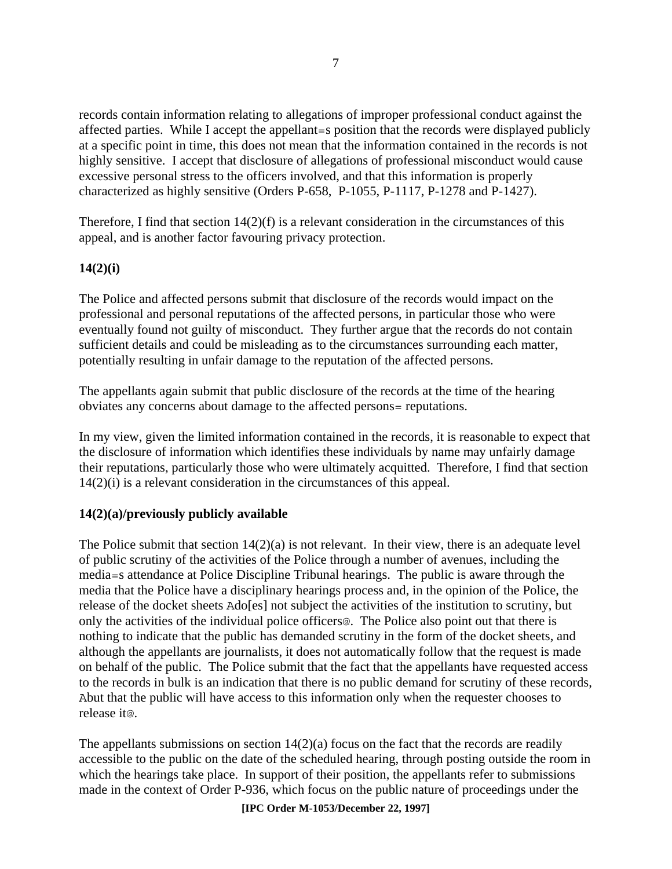records contain information relating to allegations of improper professional conduct against the affected parties. While I accept the appellant=s position that the records were displayed publicly at a specific point in time, this does not mean that the information contained in the records is not highly sensitive. I accept that disclosure of allegations of professional misconduct would cause excessive personal stress to the officers involved, and that this information is properly characterized as highly sensitive (Orders P-658, P-1055, P-1117, P-1278 and P-1427).

Therefore, I find that section  $14(2)(f)$  is a relevant consideration in the circumstances of this appeal, and is another factor favouring privacy protection.

#### **14(2)(i)**

The Police and affected persons submit that disclosure of the records would impact on the professional and personal reputations of the affected persons, in particular those who were eventually found not guilty of misconduct. They further argue that the records do not contain sufficient details and could be misleading as to the circumstances surrounding each matter, potentially resulting in unfair damage to the reputation of the affected persons.

The appellants again submit that public disclosure of the records at the time of the hearing obviates any concerns about damage to the affected persons= reputations.

In my view, given the limited information contained in the records, it is reasonable to expect that the disclosure of information which identifies these individuals by name may unfairly damage their reputations, particularly those who were ultimately acquitted. Therefore, I find that section 14(2)(i) is a relevant consideration in the circumstances of this appeal.

#### **14(2)(a)/previously publicly available**

The Police submit that section  $14(2)(a)$  is not relevant. In their view, there is an adequate level of public scrutiny of the activities of the Police through a number of avenues, including the media=s attendance at Police Discipline Tribunal hearings. The public is aware through the media that the Police have a disciplinary hearings process and, in the opinion of the Police, the release of the docket sheets Ado[es] not subject the activities of the institution to scrutiny, but only the activities of the individual police officers@. The Police also point out that there is nothing to indicate that the public has demanded scrutiny in the form of the docket sheets, and although the appellants are journalists, it does not automatically follow that the request is made on behalf of the public. The Police submit that the fact that the appellants have requested access to the records in bulk is an indication that there is no public demand for scrutiny of these records, Abut that the public will have access to this information only when the requester chooses to release it@.

The appellants submissions on section  $14(2)(a)$  focus on the fact that the records are readily accessible to the public on the date of the scheduled hearing, through posting outside the room in which the hearings take place. In support of their position, the appellants refer to submissions made in the context of Order P-936, which focus on the public nature of proceedings under the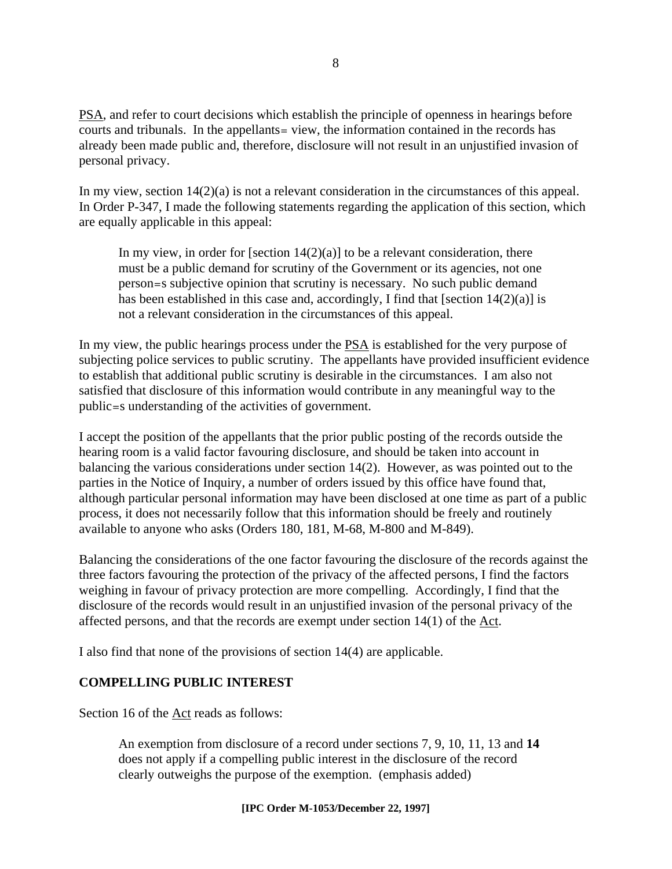PSA, and refer to court decisions which establish the principle of openness in hearings before courts and tribunals. In the appellants= view, the information contained in the records has already been made public and, therefore, disclosure will not result in an unjustified invasion of personal privacy.

In my view, section 14(2)(a) is not a relevant consideration in the circumstances of this appeal. In Order P-347, I made the following statements regarding the application of this section, which are equally applicable in this appeal:

In my view, in order for [section  $14(2)(a)$ ] to be a relevant consideration, there must be a public demand for scrutiny of the Government or its agencies, not one person=s subjective opinion that scrutiny is necessary. No such public demand has been established in this case and, accordingly, I find that [section 14(2)(a)] is not a relevant consideration in the circumstances of this appeal.

In my view, the public hearings process under the PSA is established for the very purpose of subjecting police services to public scrutiny. The appellants have provided insufficient evidence to establish that additional public scrutiny is desirable in the circumstances. I am also not satisfied that disclosure of this information would contribute in any meaningful way to the public=s understanding of the activities of government.

I accept the position of the appellants that the prior public posting of the records outside the hearing room is a valid factor favouring disclosure, and should be taken into account in balancing the various considerations under section 14(2). However, as was pointed out to the parties in the Notice of Inquiry, a number of orders issued by this office have found that, although particular personal information may have been disclosed at one time as part of a public process, it does not necessarily follow that this information should be freely and routinely available to anyone who asks (Orders 180, 181, M-68, M-800 and M-849).

Balancing the considerations of the one factor favouring the disclosure of the records against the three factors favouring the protection of the privacy of the affected persons, I find the factors weighing in favour of privacy protection are more compelling. Accordingly, I find that the disclosure of the records would result in an unjustified invasion of the personal privacy of the affected persons, and that the records are exempt under section  $14(1)$  of the Act.

I also find that none of the provisions of section 14(4) are applicable.

#### **COMPELLING PUBLIC INTEREST**

Section 16 of the Act reads as follows:

An exemption from disclosure of a record under sections 7, 9, 10, 11, 13 and **14** does not apply if a compelling public interest in the disclosure of the record clearly outweighs the purpose of the exemption. (emphasis added)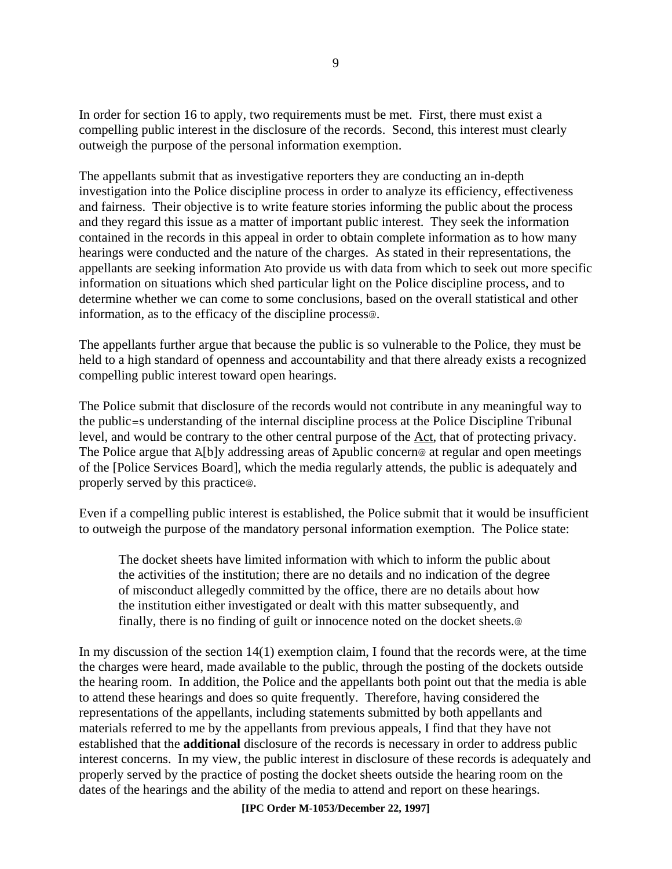In order for section 16 to apply, two requirements must be met. First, there must exist a compelling public interest in the disclosure of the records. Second, this interest must clearly outweigh the purpose of the personal information exemption.

The appellants submit that as investigative reporters they are conducting an in-depth investigation into the Police discipline process in order to analyze its efficiency, effectiveness and fairness. Their objective is to write feature stories informing the public about the process and they regard this issue as a matter of important public interest. They seek the information contained in the records in this appeal in order to obtain complete information as to how many hearings were conducted and the nature of the charges. As stated in their representations, the appellants are seeking information Ato provide us with data from which to seek out more specific information on situations which shed particular light on the Police discipline process, and to determine whether we can come to some conclusions, based on the overall statistical and other information, as to the efficacy of the discipline process@.

The appellants further argue that because the public is so vulnerable to the Police, they must be held to a high standard of openness and accountability and that there already exists a recognized compelling public interest toward open hearings.

The Police submit that disclosure of the records would not contribute in any meaningful way to the public=s understanding of the internal discipline process at the Police Discipline Tribunal level, and would be contrary to the other central purpose of the Act, that of protecting privacy. The Police argue that A[b]y addressing areas of Apublic concern@ at regular and open meetings of the [Police Services Board], which the media regularly attends, the public is adequately and properly served by this practice@.

Even if a compelling public interest is established, the Police submit that it would be insufficient to outweigh the purpose of the mandatory personal information exemption. The Police state:

The docket sheets have limited information with which to inform the public about the activities of the institution; there are no details and no indication of the degree of misconduct allegedly committed by the office, there are no details about how the institution either investigated or dealt with this matter subsequently, and finally, there is no finding of guilt or innocence noted on the docket sheets.@

In my discussion of the section 14(1) exemption claim, I found that the records were, at the time the charges were heard, made available to the public, through the posting of the dockets outside the hearing room. In addition, the Police and the appellants both point out that the media is able to attend these hearings and does so quite frequently. Therefore, having considered the representations of the appellants, including statements submitted by both appellants and materials referred to me by the appellants from previous appeals, I find that they have not established that the **additional** disclosure of the records is necessary in order to address public interest concerns. In my view, the public interest in disclosure of these records is adequately and properly served by the practice of posting the docket sheets outside the hearing room on the dates of the hearings and the ability of the media to attend and report on these hearings.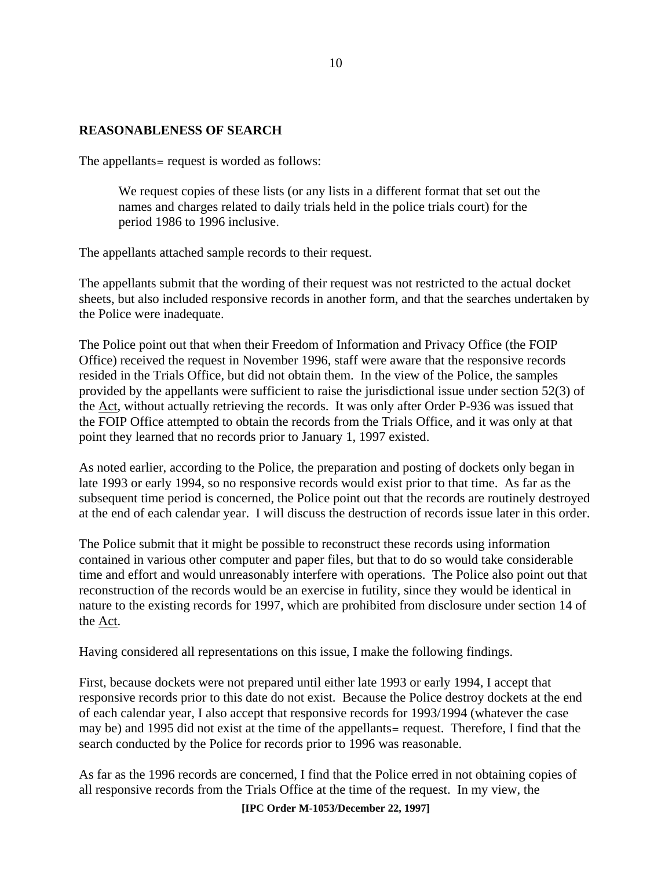#### **REASONABLENESS OF SEARCH**

The appellants = request is worded as follows:

We request copies of these lists (or any lists in a different format that set out the names and charges related to daily trials held in the police trials court) for the period 1986 to 1996 inclusive.

The appellants attached sample records to their request.

The appellants submit that the wording of their request was not restricted to the actual docket sheets, but also included responsive records in another form, and that the searches undertaken by the Police were inadequate.

The Police point out that when their Freedom of Information and Privacy Office (the FOIP Office) received the request in November 1996, staff were aware that the responsive records resided in the Trials Office, but did not obtain them. In the view of the Police, the samples provided by the appellants were sufficient to raise the jurisdictional issue under section 52(3) of the Act, without actually retrieving the records. It was only after Order P-936 was issued that the FOIP Office attempted to obtain the records from the Trials Office, and it was only at that point they learned that no records prior to January 1, 1997 existed.

As noted earlier, according to the Police, the preparation and posting of dockets only began in late 1993 or early 1994, so no responsive records would exist prior to that time. As far as the subsequent time period is concerned, the Police point out that the records are routinely destroyed at the end of each calendar year. I will discuss the destruction of records issue later in this order.

The Police submit that it might be possible to reconstruct these records using information contained in various other computer and paper files, but that to do so would take considerable time and effort and would unreasonably interfere with operations. The Police also point out that reconstruction of the records would be an exercise in futility, since they would be identical in nature to the existing records for 1997, which are prohibited from disclosure under section 14 of the Act.

Having considered all representations on this issue, I make the following findings.

First, because dockets were not prepared until either late 1993 or early 1994, I accept that responsive records prior to this date do not exist. Because the Police destroy dockets at the end of each calendar year, I also accept that responsive records for 1993/1994 (whatever the case may be) and 1995 did not exist at the time of the appellants= request. Therefore, I find that the search conducted by the Police for records prior to 1996 was reasonable.

As far as the 1996 records are concerned, I find that the Police erred in not obtaining copies of all responsive records from the Trials Office at the time of the request. In my view, the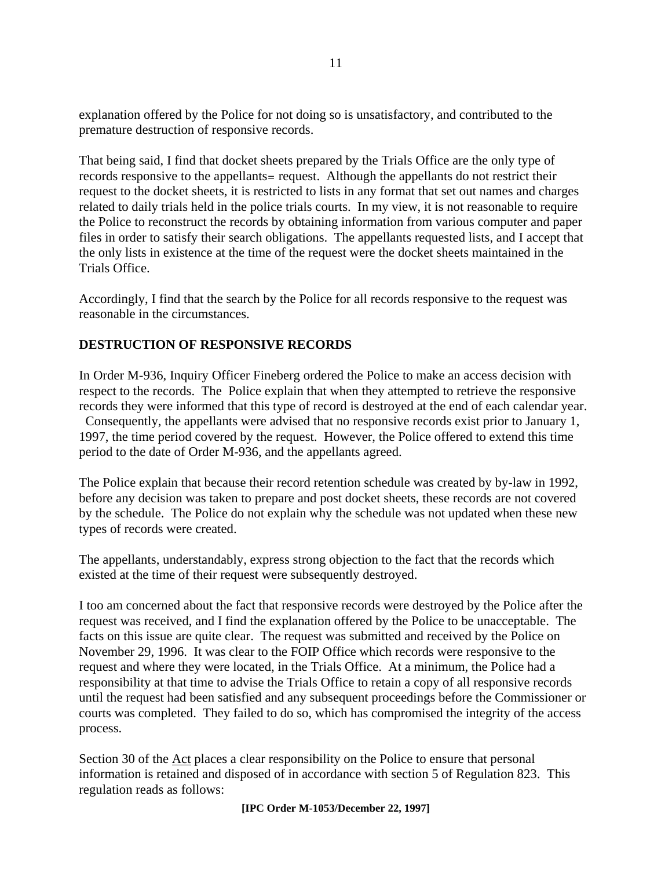explanation offered by the Police for not doing so is unsatisfactory, and contributed to the premature destruction of responsive records.

That being said, I find that docket sheets prepared by the Trials Office are the only type of records responsive to the appellants= request. Although the appellants do not restrict their request to the docket sheets, it is restricted to lists in any format that set out names and charges related to daily trials held in the police trials courts. In my view, it is not reasonable to require the Police to reconstruct the records by obtaining information from various computer and paper files in order to satisfy their search obligations. The appellants requested lists, and I accept that the only lists in existence at the time of the request were the docket sheets maintained in the Trials Office.

Accordingly, I find that the search by the Police for all records responsive to the request was reasonable in the circumstances.

#### **DESTRUCTION OF RESPONSIVE RECORDS**

In Order M-936, Inquiry Officer Fineberg ordered the Police to make an access decision with respect to the records. The Police explain that when they attempted to retrieve the responsive records they were informed that this type of record is destroyed at the end of each calendar year.

 Consequently, the appellants were advised that no responsive records exist prior to January 1, 1997, the time period covered by the request. However, the Police offered to extend this time period to the date of Order M-936, and the appellants agreed.

The Police explain that because their record retention schedule was created by by-law in 1992, before any decision was taken to prepare and post docket sheets, these records are not covered by the schedule. The Police do not explain why the schedule was not updated when these new types of records were created.

The appellants, understandably, express strong objection to the fact that the records which existed at the time of their request were subsequently destroyed.

I too am concerned about the fact that responsive records were destroyed by the Police after the request was received, and I find the explanation offered by the Police to be unacceptable. The facts on this issue are quite clear. The request was submitted and received by the Police on November 29, 1996. It was clear to the FOIP Office which records were responsive to the request and where they were located, in the Trials Office. At a minimum, the Police had a responsibility at that time to advise the Trials Office to retain a copy of all responsive records until the request had been satisfied and any subsequent proceedings before the Commissioner or courts was completed. They failed to do so, which has compromised the integrity of the access process.

Section 30 of the Act places a clear responsibility on the Police to ensure that personal information is retained and disposed of in accordance with section 5 of Regulation 823. This regulation reads as follows: